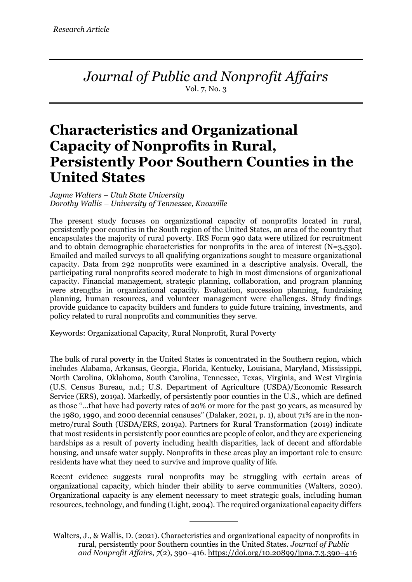*Journal of Public and Nonprofit Affairs* Vol. 7, No. 3

# **Characteristics and Organizational Capacity of Nonprofits in Rural, Persistently Poor Southern Counties in the United States**

*Jayme Walters – Utah State University Dorothy Wallis – University of Tennessee, Knoxville*

The present study focuses on organizational capacity of nonprofits located in rural, persistently poor counties in the South region of the United States, an area of the country that encapsulates the majority of rural poverty. IRS Form 990 data were utilized for recruitment and to obtain demographic characteristics for nonprofits in the area of interest (N=3,530). Emailed and mailed surveys to all qualifying organizations sought to measure organizational capacity. Data from 292 nonprofits were examined in a descriptive analysis. Overall, the participating rural nonprofits scored moderate to high in most dimensions of organizational capacity. Financial management, strategic planning, collaboration, and program planning were strengths in organizational capacity. Evaluation, succession planning, fundraising planning, human resources, and volunteer management were challenges. Study findings provide guidance to capacity builders and funders to guide future training, investments, and policy related to rural nonprofits and communities they serve.

Keywords: Organizational Capacity, Rural Nonprofit, Rural Poverty

The bulk of rural poverty in the United States is concentrated in the Southern region, which includes Alabama, Arkansas, Georgia, Florida, Kentucky, Louisiana, Maryland, Mississippi, North Carolina, Oklahoma, South Carolina, Tennessee, Texas, Virginia, and West Virginia (U.S. Census Bureau, n.d.; U.S. Department of Agriculture (USDA)/Economic Research Service (ERS), 2019a). Markedly, of persistently poor counties in the U.S., which are defined as those "…that have had poverty rates of 20% or more for the past 30 years, as measured by the 1980, 1990, and 2000 decennial censuses" (Dalaker, 2021, p. 1), about 71% are in the nonmetro/rural South (USDA/ERS, 2019a). Partners for Rural Transformation (2019) indicate that most residents in persistently poor counties are people of color, and they are experiencing hardships as a result of poverty including health disparities, lack of decent and affordable housing, and unsafe water supply. Nonprofits in these areas play an important role to ensure residents have what they need to survive and improve quality of life.

Recent evidence suggests rural nonprofits may be struggling with certain areas of organizational capacity, which hinder their ability to serve communities (Walters, 2020). Organizational capacity is any element necessary to meet strategic goals, including human resources, technology, and funding (Light, 2004). The required organizational capacity differs

Walters, J., & Wallis, D. (2021). Characteristics and organizational capacity of nonprofits in rural, persistently poor Southern counties in the United States. *Journal of Public and Nonprofit Affairs*, *7*(2), 390–416. https://doi.org/10.20899/jpna.7.3.390–416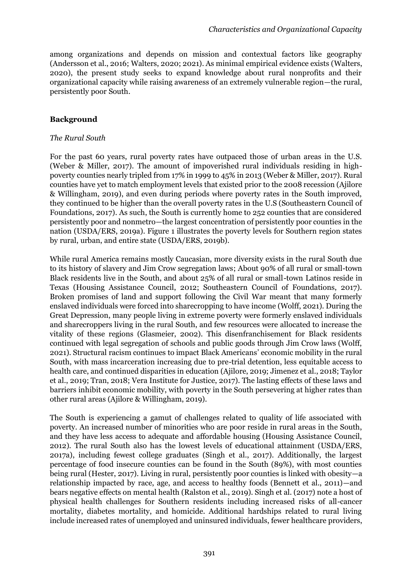among organizations and depends on mission and contextual factors like geography (Andersson et al., 2016; Walters, 2020; 2021). As minimal empirical evidence exists (Walters, 2020), the present study seeks to expand knowledge about rural nonprofits and their organizational capacity while raising awareness of an extremely vulnerable region—the rural, persistently poor South.

#### **Background**

#### *The Rural South*

For the past 60 years, rural poverty rates have outpaced those of urban areas in the U.S. (Weber & Miller, 2017). The amount of impoverished rural individuals residing in highpoverty counties nearly tripled from 17% in 1999 to 45% in 2013 (Weber & Miller, 2017). Rural counties have yet to match employment levels that existed prior to the 2008 recession (Ajilore & Willingham, 2019), and even during periods where poverty rates in the South improved, they continued to be higher than the overall poverty rates in the U.S (Southeastern Council of Foundations, 2017). As such, the South is currently home to 252 counties that are considered persistently poor and nonmetro—the largest concentration of persistently poor counties in the nation (USDA/ERS, 2019a). Figure 1 illustrates the poverty levels for Southern region states by rural, urban, and entire state (USDA/ERS, 2019b).

While rural America remains mostly Caucasian, more diversity exists in the rural South due to its history of slavery and Jim Crow segregation laws; About 90% of all rural or small-town Black residents live in the South, and about 25% of all rural or small-town Latinos reside in Texas (Housing Assistance Council, 2012; Southeastern Council of Foundations, 2017). Broken promises of land and support following the Civil War meant that many formerly enslaved individuals were forced into sharecropping to have income (Wolff, 2021). During the Great Depression, many people living in extreme poverty were formerly enslaved individuals and sharecroppers living in the rural South, and few resources were allocated to increase the vitality of these regions (Glasmeier, 2002). This disenfranchisement for Black residents continued with legal segregation of schools and public goods through Jim Crow laws (Wolff, 2021). Structural racism continues to impact Black Americans' economic mobility in the rural South, with mass incarceration increasing due to pre-trial detention, less equitable access to health care, and continued disparities in education (Ajilore, 2019; Jimenez et al., 2018; Taylor et al., 2019; Tran, 2018; Vera Institute for Justice, 2017). The lasting effects of these laws and barriers inhibit economic mobility, with poverty in the South persevering at higher rates than other rural areas (Ajilore & Willingham, 2019).

The South is experiencing a gamut of challenges related to quality of life associated with poverty. An increased number of minorities who are poor reside in rural areas in the South, and they have less access to adequate and affordable housing (Housing Assistance Council, 2012). The rural South also has the lowest levels of educational attainment (USDA/ERS, 2017a), including fewest college graduates (Singh et al., 2017). Additionally, the largest percentage of food insecure counties can be found in the South (89%), with most counties being rural (Hester, 2017). Living in rural, persistently poor counties is linked with obesity—a relationship impacted by race, age, and access to healthy foods (Bennett et al., 2011)—and bears negative effects on mental health (Ralston et al., 2019). Singh et al. (2017) note a host of physical health challenges for Southern residents including increased risks of all-cancer mortality, diabetes mortality, and homicide. Additional hardships related to rural living include increased rates of unemployed and uninsured individuals, fewer healthcare providers,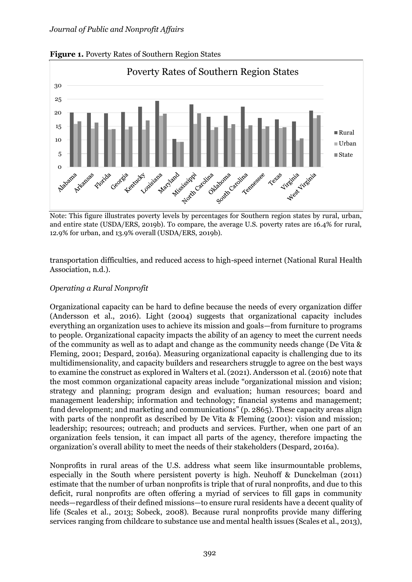

**Figure 1.** Poverty Rates of Southern Region States

Note: This figure illustrates poverty levels by percentages for Southern region states by rural, urban, and entire state (USDA/ERS, 2019b). To compare, the average U.S. poverty rates are 16.4% for rural, 12.9% for urban, and 13.9% overall (USDA/ERS, 2019b).

transportation difficulties, and reduced access to high-speed internet (National Rural Health Association, n.d.).

## *Operating a Rural Nonprofit*

Organizational capacity can be hard to define because the needs of every organization differ (Andersson et al., 2016). Light (2004) suggests that organizational capacity includes everything an organization uses to achieve its mission and goals—from furniture to programs to people. Organizational capacity impacts the ability of an agency to meet the current needs of the community as well as to adapt and change as the community needs change (De Vita & Fleming, 2001; Despard, 2016a). Measuring organizational capacity is challenging due to its multidimensionality, and capacity builders and researchers struggle to agree on the best ways to examine the construct as explored in Walters et al. (2021). Andersson et al. (2016) note that the most common organizational capacity areas include "organizational mission and vision; strategy and planning; program design and evaluation; human resources; board and management leadership; information and technology; financial systems and management; fund development; and marketing and communications" (p. 2865). These capacity areas align with parts of the nonprofit as described by De Vita & Fleming (2001): vision and mission; leadership; resources; outreach; and products and services. Further, when one part of an organization feels tension, it can impact all parts of the agency, therefore impacting the organization's overall ability to meet the needs of their stakeholders (Despard, 2016a).

Nonprofits in rural areas of the U.S. address what seem like insurmountable problems, especially in the South where persistent poverty is high. Neuhoff & Dunckelman (2011) estimate that the number of urban nonprofits is triple that of rural nonprofits, and due to this deficit, rural nonprofits are often offering a myriad of services to fill gaps in community needs—regardless of their defined missions—to ensure rural residents have a decent quality of life (Scales et al., 2013; Sobeck, 2008). Because rural nonprofits provide many differing services ranging from childcare to substance use and mental health issues (Scales et al., 2013),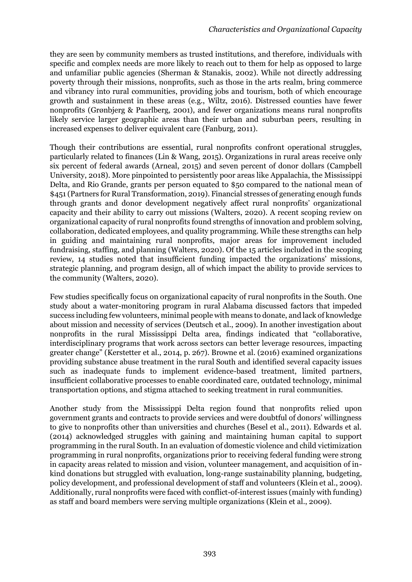they are seen by community members as trusted institutions, and therefore, individuals with specific and complex needs are more likely to reach out to them for help as opposed to large and unfamiliar public agencies (Sherman & Stanakis, 2002). While not directly addressing poverty through their missions, nonprofits, such as those in the arts realm, bring commerce and vibrancy into rural communities, providing jobs and tourism, both of which encourage growth and sustainment in these areas (e.g., Wiltz, 2016). Distressed counties have fewer nonprofits (Grønbjerg & Paarlberg, 2001), and fewer organizations means rural nonprofits likely service larger geographic areas than their urban and suburban peers, resulting in increased expenses to deliver equivalent care (Fanburg, 2011).

Though their contributions are essential, rural nonprofits confront operational struggles, particularly related to finances (Lin & Wang, 2015). Organizations in rural areas receive only six percent of federal awards (Arneal, 2015) and seven percent of donor dollars (Campbell University, 2018). More pinpointed to persistently poor areas like Appalachia, the Mississippi Delta, and Rio Grande, grants per person equated to \$50 compared to the national mean of \$451 (Partners for Rural Transformation, 2019). Financial stresses of generating enough funds through grants and donor development negatively affect rural nonprofits' organizational capacity and their ability to carry out missions (Walters, 2020). A recent scoping review on organizational capacity of rural nonprofits found strengths of innovation and problem solving, collaboration, dedicated employees, and quality programming. While these strengths can help in guiding and maintaining rural nonprofits, major areas for improvement included fundraising, staffing, and planning (Walters, 2020). Of the 15 articles included in the scoping review, 14 studies noted that insufficient funding impacted the organizations' missions, strategic planning, and program design, all of which impact the ability to provide services to the community (Walters, 2020).

Few studies specifically focus on organizational capacity of rural nonprofits in the South. One study about a water-monitoring program in rural Alabama discussed factors that impeded success including few volunteers, minimal people with means to donate, and lack of knowledge about mission and necessity of services (Deutsch et al., 2009). In another investigation about nonprofits in the rural Mississippi Delta area, findings indicated that "collaborative, interdisciplinary programs that work across sectors can better leverage resources, impacting greater change" (Kerstetter et al., 2014, p. 267). Browne et al. (2016) examined organizations providing substance abuse treatment in the rural South and identified several capacity issues such as inadequate funds to implement evidence-based treatment, limited partners, insufficient collaborative processes to enable coordinated care, outdated technology, minimal transportation options, and stigma attached to seeking treatment in rural communities.

Another study from the Mississippi Delta region found that nonprofits relied upon government grants and contracts to provide services and were doubtful of donors' willingness to give to nonprofits other than universities and churches (Besel et al., 2011). Edwards et al. (2014) acknowledged struggles with gaining and maintaining human capital to support programming in the rural South. In an evaluation of domestic violence and child victimization programming in rural nonprofits, organizations prior to receiving federal funding were strong in capacity areas related to mission and vision, volunteer management, and acquisition of inkind donations but struggled with evaluation, long-range sustainability planning, budgeting, policy development, and professional development of staff and volunteers (Klein et al., 2009). Additionally, rural nonprofits were faced with conflict-of-interest issues (mainly with funding) as staff and board members were serving multiple organizations (Klein et al., 2009).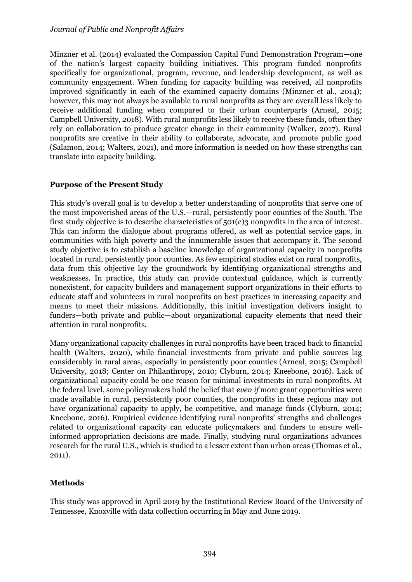Minzner et al. (2014) evaluated the Compassion Capital Fund Demonstration Program—one of the nation's largest capacity building initiatives. This program funded nonprofits specifically for organizational, program, revenue, and leadership development, as well as community engagement. When funding for capacity building was received, all nonprofits improved significantly in each of the examined capacity domains (Minzner et al., 2014); however, this may not always be available to rural nonprofits as they are overall less likely to receive additional funding when compared to their urban counterparts (Arneal, 2015; Campbell University, 2018). With rural nonprofits less likely to receive these funds, often they rely on collaboration to produce greater change in their community (Walker, 2017). Rural nonprofits are creative in their ability to collaborate, advocate, and promote public good (Salamon, 2014; Walters, 2021), and more information is needed on how these strengths can translate into capacity building.

# **Purpose of the Present Study**

This study's overall goal is to develop a better understanding of nonprofits that serve one of the most impoverished areas of the U.S.—rural, persistently poor counties of the South. The first study objective is to describe characteristics of 501(c)3 nonprofits in the area of interest. This can inform the dialogue about programs offered, as well as potential service gaps, in communities with high poverty and the innumerable issues that accompany it. The second study objective is to establish a baseline knowledge of organizational capacity in nonprofits located in rural, persistently poor counties. As few empirical studies exist on rural nonprofits, data from this objective lay the groundwork by identifying organizational strengths and weaknesses. In practice, this study can provide contextual guidance, which is currently nonexistent, for capacity builders and management support organizations in their efforts to educate staff and volunteers in rural nonprofits on best practices in increasing capacity and means to meet their missions. Additionally, this initial investigation delivers insight to funders—both private and public—about organizational capacity elements that need their attention in rural nonprofits.

Many organizational capacity challenges in rural nonprofits have been traced back to financial health (Walters, 2020), while financial investments from private and public sources lag considerably in rural areas, especially in persistently poor counties (Arneal, 2015; Campbell University, 2018; Center on Philanthropy, 2010; Clyburn, 2014; Kneebone, 2016). Lack of organizational capacity could be one reason for minimal investments in rural nonprofits. At the federal level, some policymakers hold the belief that *even if* more grant opportunities were made available in rural, persistently poor counties, the nonprofits in these regions may not have organizational capacity to apply, be competitive, and manage funds (Clyburn, 2014; Kneebone, 2016). Empirical evidence identifying rural nonprofits' strengths and challenges related to organizational capacity can educate policymakers and funders to ensure wellinformed appropriation decisions are made. Finally, studying rural organizations advances research for the rural U.S., which is studied to a lesser extent than urban areas (Thomas et al., 2011).

# **Methods**

This study was approved in April 2019 by the Institutional Review Board of the University of Tennessee, Knoxville with data collection occurring in May and June 2019.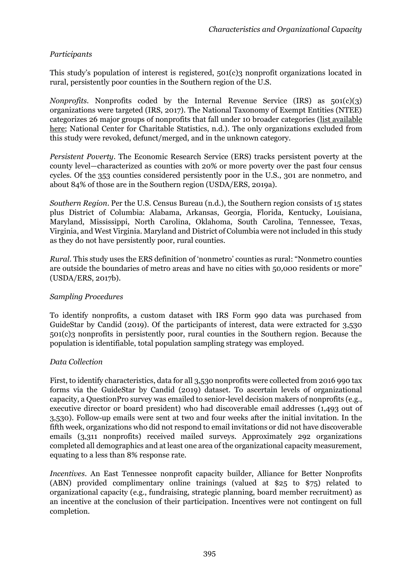# *Participants*

This study's population of interest is registered, 501(c)3 nonprofit organizations located in rural, persistently poor counties in the Southern region of the U.S.

*Nonprofits.* Nonprofits coded by the Internal Revenue Service (IRS) as  $501(c)(3)$ organizations were targeted (IRS, 2017). The National Taxonomy of Exempt Entities (NTEE) categorizes 26 major groups of nonprofits that fall under 10 broader categories [\(list available](https://nccs.urban.org/project/national-taxonomy-exempt-entities-ntee-codes)  [here;](https://nccs.urban.org/project/national-taxonomy-exempt-entities-ntee-codes) National Center for Charitable Statistics, n.d.). The only organizations excluded from this study were revoked, defunct/merged, and in the unknown category.

*Persistent Poverty.* The Economic Research Service (ERS) tracks persistent poverty at the county level—characterized as counties with 20% or more poverty over the past four census cycles. Of the 353 counties considered persistently poor in the U.S., 301 are nonmetro, and about 84% of those are in the Southern region (USDA/ERS, 2019a).

*Southern Region*. Per the U.S. Census Bureau (n.d.), the Southern region consists of 15 states plus District of Columbia: Alabama, Arkansas, Georgia, Florida, Kentucky, Louisiana, Maryland, Mississippi, North Carolina, Oklahoma, South Carolina, Tennessee, Texas, Virginia, and West Virginia. Maryland and District of Columbia were not included in this study as they do not have persistently poor, rural counties.

*Rural*. This study uses the ERS definition of 'nonmetro' counties as rural: "Nonmetro counties are outside the boundaries of metro areas and have no cities with 50,000 residents or more" (USDA/ERS, 2017b).

# *Sampling Procedures*

To identify nonprofits, a custom dataset with IRS Form 990 data was purchased from GuideStar by Candid (2019). Of the participants of interest, data were extracted for 3,530 501(c)3 nonprofits in persistently poor, rural counties in the Southern region. Because the population is identifiable, total population sampling strategy was employed.

# *Data Collection*

First, to identify characteristics, data for all 3,530 nonprofits were collected from 2016 990 tax forms via the GuideStar by Candid (2019) dataset. To ascertain levels of organizational capacity, a QuestionPro survey was emailed to senior-level decision makers of nonprofits (e.g., executive director or board president) who had discoverable email addresses (1,493 out of 3,530). Follow-up emails were sent at two and four weeks after the initial invitation. In the fifth week, organizations who did not respond to email invitations or did not have discoverable emails (3,311 nonprofits) received mailed surveys. Approximately 292 organizations completed all demographics and at least one area of the organizational capacity measurement, equating to a less than 8% response rate.

*Incentives*. An East Tennessee nonprofit capacity builder, Alliance for Better Nonprofits (ABN) provided complimentary online trainings (valued at \$25 to \$75) related to organizational capacity (e.g., fundraising, strategic planning, board member recruitment) as an incentive at the conclusion of their participation. Incentives were not contingent on full completion.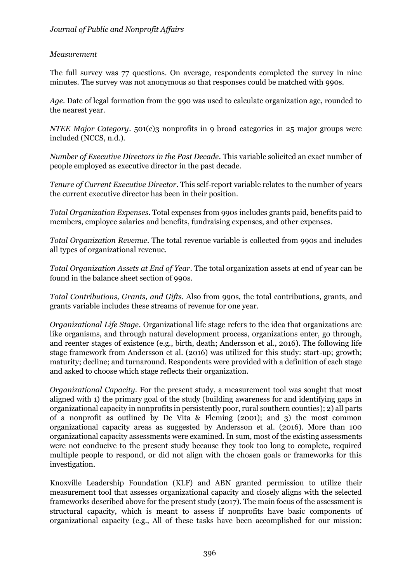# *Measurement*

The full survey was 77 questions. On average, respondents completed the survey in nine minutes. The survey was not anonymous so that responses could be matched with 990s.

*Age*. Date of legal formation from the 990 was used to calculate organization age, rounded to the nearest year.

*NTEE Major Category*. 501(c)3 nonprofits in 9 broad categories in 25 major groups were included (NCCS, n.d.).

*Number of Executive Directors in the Past Decade*. This variable solicited an exact number of people employed as executive director in the past decade.

*Tenure of Current Executive Director*. This self-report variable relates to the number of years the current executive director has been in their position.

*Total Organization Expenses*. Total expenses from 990s includes grants paid, benefits paid to members, employee salaries and benefits, fundraising expenses, and other expenses.

*Total Organization Revenue*. The total revenue variable is collected from 990s and includes all types of organizational revenue.

*Total Organization Assets at End of Year*. The total organization assets at end of year can be found in the balance sheet section of 990s.

*Total Contributions, Grants, and Gifts*. Also from 990s, the total contributions, grants, and grants variable includes these streams of revenue for one year.

*Organizational Life Stage*. Organizational life stage refers to the idea that organizations are like organisms, and through natural development process, organizations enter, go through, and reenter stages of existence (e.g., birth, death; Andersson et al., 2016). The following life stage framework from Andersson et al. (2016) was utilized for this study: start-up; growth; maturity; decline; and turnaround. Respondents were provided with a definition of each stage and asked to choose which stage reflects their organization.

*Organizational Capacity*. For the present study, a measurement tool was sought that most aligned with 1) the primary goal of the study (building awareness for and identifying gaps in organizational capacity in nonprofits in persistently poor, rural southern counties); 2) all parts of a nonprofit as outlined by De Vita & Fleming (2001); and 3) the most common organizational capacity areas as suggested by Andersson et al. (2016). More than 100 organizational capacity assessments were examined. In sum, most of the existing assessments were not conducive to the present study because they took too long to complete, required multiple people to respond, or did not align with the chosen goals or frameworks for this investigation.

Knoxville Leadership Foundation (KLF) and ABN granted permission to utilize their measurement tool that assesses organizational capacity and closely aligns with the selected frameworks described above for the present study (2017). The main focus of the assessment is structural capacity, which is meant to assess if nonprofits have basic components of organizational capacity (e.g., All of these tasks have been accomplished for our mission: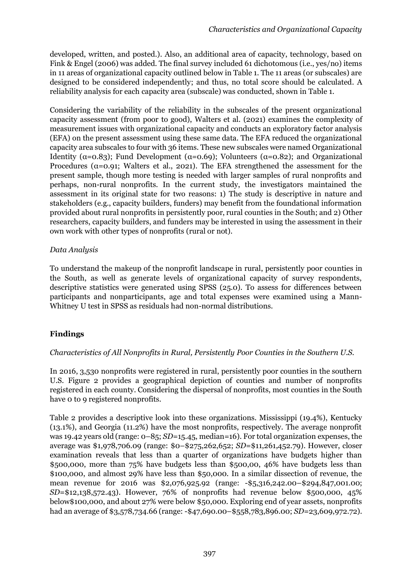developed, written, and posted.). Also, an additional area of capacity, technology, based on Fink & Engel (2006) was added. The final survey included 61 dichotomous (i.e., yes/no) items in 11 areas of organizational capacity outlined below in Table 1. The 11 areas (or subscales) are designed to be considered independently; and thus, no total score should be calculated. A reliability analysis for each capacity area (subscale) was conducted, shown in Table 1.

Considering the variability of the reliability in the subscales of the present organizational capacity assessment (from poor to good), Walters et al. (2021) examines the complexity of measurement issues with organizational capacity and conducts an exploratory factor analysis (EFA) on the present assessment using these same data. The EFA reduced the organizational capacity area subscales to four with 36 items. These new subscales were named Organizational Identity ( $\alpha$ =0.83); Fund Development ( $\alpha$ =0.69); Volunteers ( $\alpha$ =0.82); and Organizational Procedures ( $\alpha$ =0.91; Walters et al., 2021). The EFA strengthened the assessment for the present sample, though more testing is needed with larger samples of rural nonprofits and perhaps, non-rural nonprofits. In the current study, the investigators maintained the assessment in its original state for two reasons: 1) The study is descriptive in nature and stakeholders (e.g., capacity builders, funders) may benefit from the foundational information provided about rural nonprofits in persistently poor, rural counties in the South; and 2) Other researchers, capacity builders, and funders may be interested in using the assessment in their own work with other types of nonprofits (rural or not).

# *Data Analysis*

To understand the makeup of the nonprofit landscape in rural, persistently poor counties in the South, as well as generate levels of organizational capacity of survey respondents, descriptive statistics were generated using SPSS (25.0). To assess for differences between participants and nonparticipants, age and total expenses were examined using a Mann-Whitney U test in SPSS as residuals had non-normal distributions.

# **Findings**

# *Characteristics of All Nonprofits in Rural, Persistently Poor Counties in the Southern U.S.*

In 2016, 3,530 nonprofits were registered in rural, persistently poor counties in the southern U.S. Figure 2 provides a geographical depiction of counties and number of nonprofits registered in each county. Considering the dispersal of nonprofits, most counties in the South have 0 to 9 registered nonprofits.

Table 2 provides a descriptive look into these organizations. Mississippi (19.4%), Kentucky (13.1%), and Georgia (11.2%) have the most nonprofits, respectively. The average nonprofit was 19.42 years old (range: 0–85; *SD*=15.45, median=16). For total organization expenses, the average was \$1,978,706.09 (range: \$0–\$275,262,652; *SD*=\$11,261,452.79). However, closer examination reveals that less than a quarter of organizations have budgets higher than \$500,000, more than 75% have budgets less than \$500,00, 46% have budgets less than \$100,000, and almost 29% have less than \$50,000. In a similar dissection of revenue, the mean revenue for 2016 was \$2,076,925.92 (range: -\$5,316,242.00–\$294,847,001.00; *SD*=\$12,138,572.43). However, 76% of nonprofits had revenue below \$500,000, 45% below\$100,000, and about 27% were below \$50,000. Exploring end of year assets, nonprofits had an average of \$3,578,734.66 (range: -\$47,690.00–\$558,783,896.00; *SD*=23,609,972.72).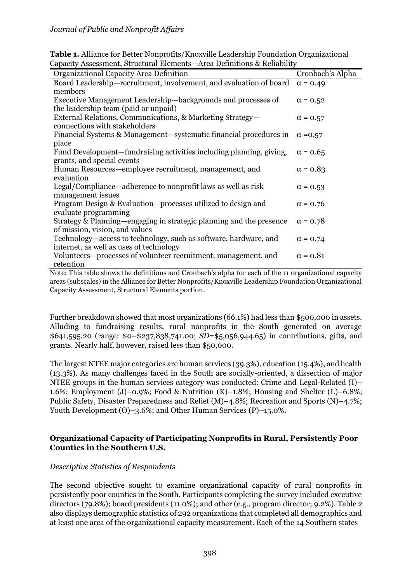| Capacity Assessment, on actural Elements—Area Demntions & Kenaphity                |                  |  |  |
|------------------------------------------------------------------------------------|------------------|--|--|
| Organizational Capacity Area Definition                                            | Cronbach's Alpha |  |  |
| Board Leadership—recruitment, involvement, and evaluation of board $\alpha = 0.49$ |                  |  |  |
| members                                                                            |                  |  |  |
| Executive Management Leadership-backgrounds and processes of                       | $\alpha = 0.52$  |  |  |
| the leadership team (paid or unpaid)                                               |                  |  |  |
| External Relations, Communications, & Marketing Strategy-                          | $\alpha = 0.57$  |  |  |
| connections with stakeholders                                                      |                  |  |  |
| Financial Systems & Management—systematic financial procedures in                  | $\alpha = 0.57$  |  |  |
| place                                                                              |                  |  |  |
| Fund Development—fundraising activities including planning, giving,                | $\alpha = 0.65$  |  |  |
| grants, and special events                                                         |                  |  |  |
| Human Resources—employee recruitment, management, and                              | $\alpha = 0.83$  |  |  |
| evaluation                                                                         |                  |  |  |
| Legal/Compliance—adherence to nonprofit laws as well as risk                       | $\alpha = 0.53$  |  |  |
| management issues                                                                  |                  |  |  |
| Program Design & Evaluation—processes utilized to design and                       | $\alpha = 0.76$  |  |  |
| evaluate programming                                                               |                  |  |  |
| Strategy & Planning—engaging in strategic planning and the presence                | $\alpha = 0.78$  |  |  |
| of mission, vision, and values                                                     |                  |  |  |
| Technology—access to technology, such as software, hardware, and                   | $\alpha = 0.74$  |  |  |
| internet, as well as uses of technology                                            |                  |  |  |
| Volunteers—processes of volunteer recruitment, management, and                     | $\alpha$ = 0.81  |  |  |
| retention                                                                          |                  |  |  |
|                                                                                    |                  |  |  |

**Table 1.** Alliance for Better Nonprofits/Knoxville Leadership Foundation Organizational Capacity Assessment, Structural Elements—Area Definitions & Reliability

Note: This table shows the definitions and Cronbach's alpha for each of the 11 organizational capacity areas (subscales) in the Alliance for Better Nonprofits/Knoxville Leadership Foundation Organizational Capacity Assessment, Structural Elements portion.

Further breakdown showed that most organizations (66.1%) had less than \$500,000 in assets. Alluding to fundraising results, rural nonprofits in the South generated on average \$641,595.20 (range: \$0–\$237,838,741.00; *SD*=\$5,056,944.65) in contributions, gifts, and grants. Nearly half, however, raised less than \$50,000.

The largest NTEE major categories are human services (39.3%), education (15.4%), and health (13.3%). As many challenges faced in the South are socially-oriented, a dissection of major NTEE groups in the human services category was conducted: Crime and Legal-Related (I)– 1.6%; Employment (J)–0.9%; Food & Nutrition (K)–1.8%; Housing and Shelter (L)–6.8%; Public Safety, Disaster Preparedness and Relief (M)–4.8%; Recreation and Sports (N)–4.7%; Youth Development (O)–3.6%; and Other Human Services (P)–15.0%.

# **Organizational Capacity of Participating Nonprofits in Rural, Persistently Poor Counties in the Southern U.S.**

# *Descriptive Statistics of Respondents*

The second objective sought to examine organizational capacity of rural nonprofits in persistently poor counties in the South. Participants completing the survey included executive directors (79.8%); board presidents (11.0%); and other (e.g., program director; 9.2%). Table 2 also displays demographic statistics of 292 organizations that completed all demographics and at least one area of the organizational capacity measurement. Each of the 14 Southern states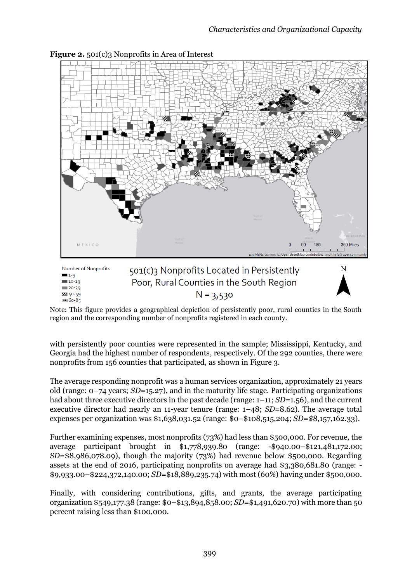N



**Figure 2.** 501(c)3 Nonprofits in Area of Interest

Number of Nonprofits  $1-9$  $10-19$  $120-39$ ZZ 40-59  $160 - 85$ 

501(c)3 Nonprofits Located in Persistently Poor, Rural Counties in the South Region  $N = 3,530$ 

Note: This figure provides a geographical depiction of persistently poor, rural counties in the South region and the corresponding number of nonprofits registered in each county.

with persistently poor counties were represented in the sample; Mississippi, Kentucky, and Georgia had the highest number of respondents, respectively. Of the 292 counties, there were nonprofits from 156 counties that participated, as shown in Figure 3.

The average responding nonprofit was a human services organization, approximately 21 years old (range: 0–74 years; *SD=*15.27), and in the maturity life stage. Participating organizations had about three executive directors in the past decade (range: 1–11; *SD=*1.56), and the current executive director had nearly an 11-year tenure (range: 1–48; *SD=*8.62). The average total expenses per organization was \$1,638,031.52 (range: \$0–\$108,515,204; *SD=\$*8,157,162.33).

Further examining expenses, most nonprofits (73%) had less than \$500,000. For revenue, the average participant brought in \$1,778,939.80 (range: -\$940.00–\$121,481,172.00; *SD*=\$8,986,078.09), though the majority (73%) had revenue below \$500,000. Regarding assets at the end of 2016, participating nonprofits on average had \$3,380,681.80 (range: - \$9,933.00–\$224,372,140.00; *SD*=\$18,889,235.74) with most (60%) having under \$500,000.

Finally, with considering contributions, gifts, and grants, the average participating organization \$549,177.38 (range: \$0–\$13,894,858.00; *SD*=\$1,491,620.70) with more than 50 percent raising less than \$100,000.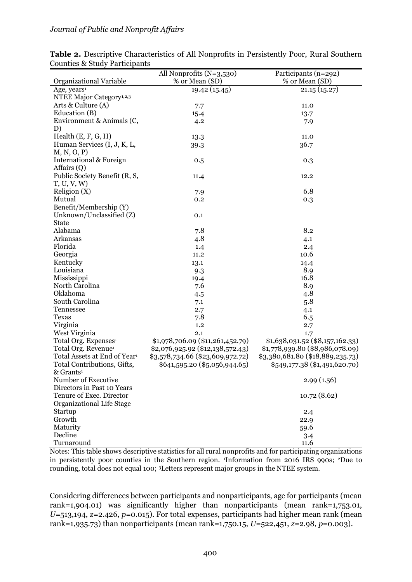|                                          | All Nonprofits $(N=3,530)$       | Participants (n=292)             |
|------------------------------------------|----------------------------------|----------------------------------|
| Organizational Variable                  | % or Mean (SD)                   | % or Mean (SD)                   |
| Age, years <sup>1</sup>                  | 19.42 (15.45)                    | 21.15(15.27)                     |
| NTEE Major Category <sup>1,2,3</sup>     |                                  |                                  |
| Arts & Culture (A)                       | 7.7                              | 11.0                             |
| Education (B)                            | 15.4                             | 13.7                             |
| Environment & Animals (C,                | 4.2                              | 7.9                              |
| D)                                       |                                  |                                  |
| Health $(E, F, G, H)$                    | 13.3                             | 11.0                             |
| Human Services (I, J, K, L,              | 39.3                             | 36.7                             |
| M, N, O, P                               |                                  |                                  |
| International & Foreign                  | 0.5                              | 0.3                              |
| Affairs (Q)                              |                                  |                                  |
| Public Society Benefit (R, S,            | 11.4                             | 12.2                             |
| T, U, V, W                               |                                  |                                  |
| Religion (X)                             | 7.9                              | 6.8                              |
| Mutual                                   | 0.2                              | 0.3                              |
| Benefit/Membership (Y)                   |                                  |                                  |
| Unknown/Unclassified (Z)                 | 0.1                              |                                  |
| <b>State</b>                             |                                  |                                  |
| Alabama                                  | 7.8                              | 8.2                              |
| Arkansas                                 | 4.8                              | 4.1                              |
| Florida                                  | 1.4                              | 2.4                              |
| Georgia                                  | 11.2                             | 10.6                             |
| Kentucky                                 | 13.1                             | 14.4                             |
| Louisiana                                | 9.3                              | 8.9                              |
| Mississippi                              | 19.4                             | 16.8                             |
| North Carolina                           | 7.6                              | 8.9                              |
| Oklahoma                                 | 4.5                              | 4.8                              |
| South Carolina                           | 7.1                              | 5.8                              |
| Tennessee                                | 2.7                              | 4.1                              |
| <b>Texas</b>                             | 7.8                              | 6.5                              |
| Virginia                                 | 1.2                              | 2.7                              |
| West Virginia                            | 2.1                              | 1.7                              |
| Total Org. Expenses <sup>1</sup>         | \$1,978,706.09 (\$11,261,452.79) | $$1,638,031.52$ (\$8,157,162.33) |
| Total Org. Revenue <sup>1</sup>          | \$2,076,925.92 (\$12,138,572.43) | \$1,778,939.80 (\$8,986,078.09)  |
| Total Assets at End of Year <sup>1</sup> | \$3,578,734.66 (\$23,609,972.72) | \$3,380,681.80 (\$18,889,235.73) |
| Total Contributions, Gifts,              | \$641,595.20 (\$5,056,944.65)    | \$549,177.38 (\$1,491,620.70)    |
| & Grants <sup>1</sup>                    |                                  |                                  |
| Number of Executive                      |                                  | 2.99(1.56)                       |
| Directors in Past 10 Years               |                                  |                                  |
| Tenure of Exec. Director                 |                                  | 10.72(8.62)                      |
| Organizational Life Stage                |                                  |                                  |
| Startup                                  |                                  | 2.4                              |
| Growth                                   |                                  | 22.9                             |
| Maturity                                 |                                  | 59.6                             |
| Decline                                  |                                  | 3.4                              |
| Turnaround                               |                                  | 11.6                             |

**Table 2.** Descriptive Characteristics of All Nonprofits in Persistently Poor, Rural Southern Counties & Study Participants

Notes: This table shows descriptive statistics for all rural nonprofits and for participating organizations in persistently poor counties in the Southern region. 1Information from 2016 IRS 990s; 2Due to rounding, total does not equal 100; 3Letters represent major groups in the NTEE system.

Considering differences between participants and nonparticipants, age for participants (mean rank=1,904.01) was significantly higher than nonparticipants (mean rank=1,753.01, *U*=513,194, *z*=2.426, *p*=0.015). For total expenses, participants had higher mean rank (mean rank=1,935.73) than nonparticipants (mean rank=1,750.15, *U*=522,451, *z*=2.98, *p*=0.003).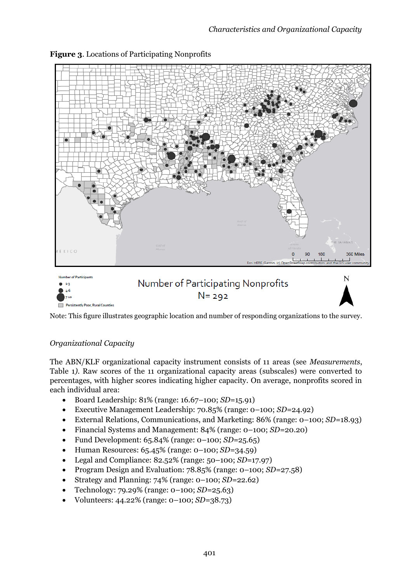

#### **Figure 3**. Locations of Participating Nonprofits

Note: This figure illustrates geographic location and number of responding organizations to the survey.

# *Organizational Capacity*

The ABN/KLF organizational capacity instrument consists of 11 areas (see *Measurements*, Table 1*)*. Raw scores of the 11 organizational capacity areas (subscales) were converted to percentages, with higher scores indicating higher capacity. On average, nonprofits scored in each individual area:

- Board Leadership: 81% (range: 16.67–100; *SD=*15.91)
- Executive Management Leadership: 70.85% (range: 0–100; *SD=*24.92)
- External Relations, Communications, and Marketing: 86% (range: 0–100; *SD=*18.93)
- Financial Systems and Management: 84% (range: 0–100; *SD=*20.20)
- Fund Development: 65.84% (range: 0–100; *SD=*25.65)
- Human Resources: 65.45% (range: 0–100; *SD=*34.59)
- Legal and Compliance: 82.52% (range: 50–100; *SD=*17.97)
- Program Design and Evaluation: 78.85% (range: 0–100; *SD=*27.58)
- Strategy and Planning: 74% (range: 0–100; *SD=*22.62)
- Technology: 79.29% (range: 0–100; *SD=*25.63)
- Volunteers: 44.22% (range: 0–100; *SD=*38.73)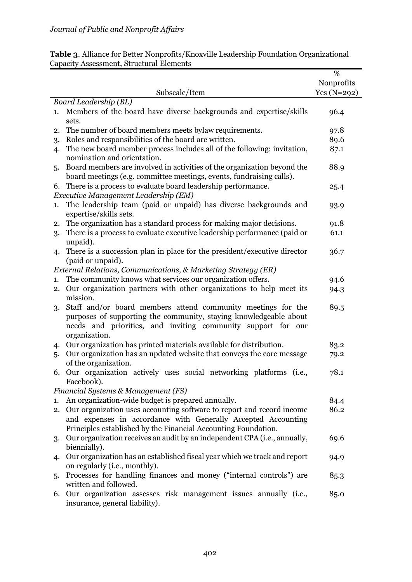|                                                                                                                                                       | %            |
|-------------------------------------------------------------------------------------------------------------------------------------------------------|--------------|
|                                                                                                                                                       | Nonprofits   |
| Subscale/Item                                                                                                                                         | $Yes(N=292)$ |
| Board Leadership (BL)                                                                                                                                 |              |
| Members of the board have diverse backgrounds and expertise/skills<br>1.<br>sets.                                                                     | 96.4         |
| The number of board members meets bylaw requirements.<br>2.                                                                                           | 97.8         |
| Roles and responsibilities of the board are written.<br>3.                                                                                            | 89.6         |
| The new board member process includes all of the following: invitation,<br>4.                                                                         | 87.1         |
| nomination and orientation.                                                                                                                           |              |
| Board members are involved in activities of the organization beyond the<br>5.<br>board meetings (e.g. committee meetings, events, fundraising calls). | 88.9         |
| There is a process to evaluate board leadership performance.<br>6.                                                                                    | 25.4         |
| Executive Management Leadership (EM)                                                                                                                  |              |
| The leadership team (paid or unpaid) has diverse backgrounds and<br>1.<br>expertise/skills sets.                                                      | 93.9         |
| The organization has a standard process for making major decisions.<br>2.                                                                             | 91.8         |
| There is a process to evaluate executive leadership performance (paid or<br>3.                                                                        | 61.1         |
| unpaid).                                                                                                                                              |              |
| There is a succession plan in place for the president/executive director<br>4.                                                                        | 36.7         |
| (paid or unpaid).                                                                                                                                     |              |
| External Relations, Communications, & Marketing Strategy (ER)                                                                                         |              |
| The community knows what services our organization offers.<br>1.                                                                                      | 94.6         |
| Our organization partners with other organizations to help meet its<br>2.                                                                             | 94.3         |
| mission.                                                                                                                                              |              |
| Staff and/or board members attend community meetings for the<br>3.                                                                                    | 89.5         |
| purposes of supporting the community, staying knowledgeable about                                                                                     |              |
| needs and priorities, and inviting community support for our                                                                                          |              |
| organization.                                                                                                                                         |              |
| Our organization has printed materials available for distribution.<br>4.                                                                              | 83.2         |
| Our organization has an updated website that conveys the core message<br>5.                                                                           | 79.2         |
| of the organization.                                                                                                                                  |              |
| 6. Our organization actively uses social networking platforms (i.e.,                                                                                  | 78.1         |
| Facebook).                                                                                                                                            |              |
| Financial Systems & Management (FS)                                                                                                                   |              |
| An organization-wide budget is prepared annually.<br>1.                                                                                               | 84.4         |
| Our organization uses accounting software to report and record income<br>2.                                                                           | 86.2         |
| and expenses in accordance with Generally Accepted Accounting                                                                                         |              |
| Principles established by the Financial Accounting Foundation.                                                                                        |              |
| Our organization receives an audit by an independent CPA (i.e., annually,<br>3.                                                                       | 69.6         |
| biennially).                                                                                                                                          |              |
| Our organization has an established fiscal year which we track and report<br>4.                                                                       | 94.9         |
| on regularly (i.e., monthly).                                                                                                                         |              |
| Processes for handling finances and money ("internal controls") are<br>5.                                                                             | 85.3         |
| written and followed.                                                                                                                                 |              |
| Our organization assesses risk management issues annually (i.e.,<br>6.                                                                                | 85.0         |
| insurance, general liability).                                                                                                                        |              |

**Table 3**. Alliance for Better Nonprofits/Knoxville Leadership Foundation Organizational Capacity Assessment, Structural Elements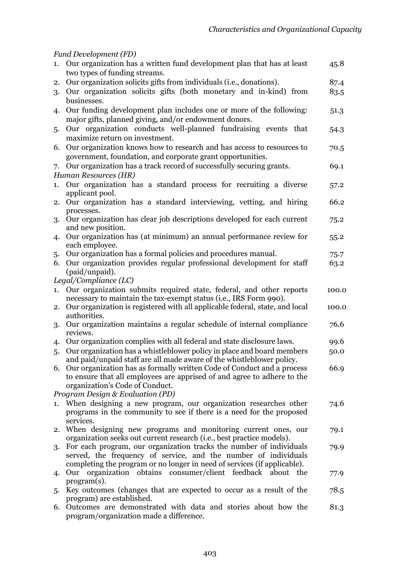# *Fund Development (FD)*

|    | 1. Our organization has a written fund development plan that has at least<br>two types of funding streams.                                           | 45.8  |
|----|------------------------------------------------------------------------------------------------------------------------------------------------------|-------|
| 2. | Our organization solicits gifts from individuals (i.e., donations).                                                                                  | 87.4  |
| 3. | Our organization solicits gifts (both monetary and in-kind) from                                                                                     | 83.5  |
|    | businesses.                                                                                                                                          |       |
|    |                                                                                                                                                      |       |
| 4. | Our funding development plan includes one or more of the following:                                                                                  | 51.3  |
|    | major gifts, planned giving, and/or endowment donors.                                                                                                |       |
| 5. | Our organization conducts well-planned fundraising events that                                                                                       | 54.3  |
|    | maximize return on investment.                                                                                                                       |       |
| 6. | Our organization knows how to research and has access to resources to                                                                                | 70.5  |
|    | government, foundation, and corporate grant opportunities.                                                                                           |       |
| 7. | Our organization has a track record of successfully securing grants.                                                                                 | 69.1  |
|    | Human Resources (HR)                                                                                                                                 |       |
| 1. | Our organization has a standard process for recruiting a diverse                                                                                     | 57.2  |
|    | applicant pool.                                                                                                                                      |       |
| 2. | Our organization has a standard interviewing, vetting, and hiring                                                                                    | 66.2  |
|    | processes.                                                                                                                                           |       |
| 3. | Our organization has clear job descriptions developed for each current                                                                               | 75.2  |
|    | and new position.                                                                                                                                    |       |
| 4. | Our organization has (at minimum) an annual performance review for                                                                                   | 55.2  |
|    | each employee.                                                                                                                                       |       |
| 5. | Our organization has a formal policies and procedures manual.                                                                                        | 75.7  |
|    | 6. Our organization provides regular professional development for staff                                                                              | 63.2  |
|    | (paid/unpaid).                                                                                                                                       |       |
|    | Legal/Compliance (LC)                                                                                                                                |       |
| 1. | Our organization submits required state, federal, and other reports                                                                                  | 100.0 |
|    | necessary to maintain the tax-exempt status (i.e., IRS Form 990).                                                                                    |       |
| 2. | Our organization is registered with all applicable federal, state, and local                                                                         | 100.0 |
|    | authorities.                                                                                                                                         |       |
| 3. | Our organization maintains a regular schedule of internal compliance                                                                                 | 76.6  |
|    | reviews.                                                                                                                                             |       |
| 4. | Our organization complies with all federal and state disclosure laws.                                                                                | 99.6  |
| 5. | Our organization has a whistleblower policy in place and board members                                                                               | 50.0  |
|    | and paid/unpaid staff are all made aware of the whistleblower policy.                                                                                | 66.9  |
|    | 6. Our organization has as formally written Code of Conduct and a process<br>to ensure that all employees are apprised of and agree to adhere to the |       |
|    | organization's Code of Conduct.                                                                                                                      |       |
|    | Program Design & Evaluation (PD)                                                                                                                     |       |
|    | When designing a new program, our organization researches other                                                                                      |       |
| 1. | programs in the community to see if there is a need for the proposed                                                                                 | 74.6  |
|    | services.                                                                                                                                            |       |
| 2. | When designing new programs and monitoring current ones, our                                                                                         | 79.1  |
|    | organization seeks out current research (i.e., best practice models).                                                                                |       |
| 3. | For each program, our organization tracks the number of individuals                                                                                  | 79.9  |
|    | served, the frequency of service, and the number of individuals                                                                                      |       |
|    | completing the program or no longer in need of services (if applicable).                                                                             |       |
| 4. | organization obtains consumer/client feedback about the<br>Our                                                                                       | 77.9  |
|    | $program(s)$ .                                                                                                                                       |       |
| 5. | Key outcomes (changes that are expected to occur as a result of the                                                                                  | 78.5  |
|    | program) are established.                                                                                                                            |       |
|    | 6. Outcomes are demonstrated with data and stories about how the                                                                                     | 81.3  |
|    | program/organization made a difference.                                                                                                              |       |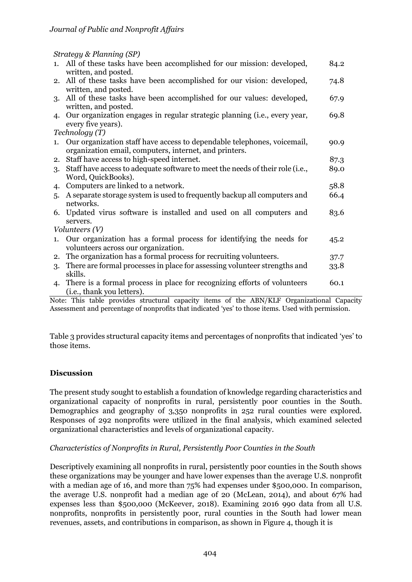*Strategy & Planning (SP)*

|    | sa utogg <del>a manang (si</del> )                                                              |      |
|----|-------------------------------------------------------------------------------------------------|------|
|    | 1. All of these tasks have been accomplished for our mission: developed,                        | 84.2 |
|    | written, and posted.                                                                            |      |
|    | 2. All of these tasks have been accomplished for our vision: developed,                         | 74.8 |
|    | written, and posted.                                                                            |      |
|    | 3. All of these tasks have been accomplished for our values: developed,                         | 67.9 |
|    | written, and posted.                                                                            |      |
| 4. | Our organization engages in regular strategic planning (i.e., every year,<br>every five years). | 69.8 |
|    | Technology(T)                                                                                   |      |
| 1. | Our organization staff have access to dependable telephones, voicemail,                         |      |
|    | organization email, computers, internet, and printers.                                          | 90.9 |
| 2. | Staff have access to high-speed internet.                                                       | 87.3 |
| 3. | Staff have access to adequate software to meet the needs of their role (i.e.,                   | 89.0 |
|    | Word, QuickBooks).                                                                              |      |
| 4. | Computers are linked to a network.                                                              | 58.8 |
| 5. | A separate storage system is used to frequently backup all computers and                        | 66.4 |
|    | networks.                                                                                       |      |
|    | 6. Updated virus software is installed and used on all computers and                            | 83.6 |
|    | servers.                                                                                        |      |
|    | Volunteers $(V)$                                                                                |      |
| 1. | Our organization has a formal process for identifying the needs for                             | 45.2 |
|    | volunteers across our organization.                                                             |      |
| 2. | The organization has a formal process for recruiting volunteers.                                | 37.7 |
| 3. | There are formal processes in place for assessing volunteer strengths and                       | 33.8 |
|    | skills.                                                                                         |      |
| 4. | There is a formal process in place for recognizing efforts of volunteers                        | 60.1 |
|    | ( <i>i.e.</i> , thank you letters).                                                             |      |

Note: This table provides structural capacity items of the ABN/KLF Organizational Capacity Assessment and percentage of nonprofits that indicated 'yes' to those items. Used with permission.

Table 3 provides structural capacity items and percentages of nonprofits that indicated 'yes' to those items.

# **Discussion**

The present study sought to establish a foundation of knowledge regarding characteristics and organizational capacity of nonprofits in rural, persistently poor counties in the South. Demographics and geography of 3,350 nonprofits in 252 rural counties were explored. Responses of 292 nonprofits were utilized in the final analysis, which examined selected organizational characteristics and levels of organizational capacity.

#### *Characteristics of Nonprofits in Rural, Persistently Poor Counties in the South*

Descriptively examining all nonprofits in rural, persistently poor counties in the South shows these organizations may be younger and have lower expenses than the average U.S. nonprofit with a median age of 16, and more than 75% had expenses under \$500,000. In comparison, the average U.S. nonprofit had a median age of 20 (McLean, 2014), and about 67% had expenses less than \$500,000 (McKeever, 2018). Examining 2016 990 data from all U.S. nonprofits, nonprofits in persistently poor, rural counties in the South had lower mean revenues, assets, and contributions in comparison, as shown in Figure 4, though it is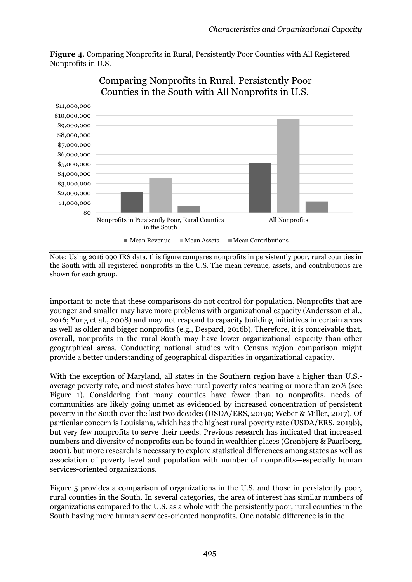**Figure 4**. Comparing Nonprofits in Rural, Persistently Poor Counties with All Registered Nonprofits in U.S.



Note: Using 2016 990 IRS data, this figure compares nonprofits in persistently poor, rural counties in the South with all registered nonprofits in the U.S. The mean revenue, assets, and contributions are shown for each group.

important to note that these comparisons do not control for population. Nonprofits that are younger and smaller may have more problems with organizational capacity (Andersson et al., 2016; Yung et al., 2008) and may not respond to capacity building initiatives in certain areas as well as older and bigger nonprofits (e.g., Despard, 2016b). Therefore, it is conceivable that, overall, nonprofits in the rural South may have lower organizational capacity than other geographical areas. Conducting national studies with Census region comparison might provide a better understanding of geographical disparities in organizational capacity.

With the exception of Maryland, all states in the Southern region have a higher than U.S. average poverty rate, and most states have rural poverty rates nearing or more than 20% (see Figure 1). Considering that many counties have fewer than 10 nonprofits, needs of communities are likely going unmet as evidenced by increased concentration of persistent poverty in the South over the last two decades (USDA/ERS, 2019a; Weber & Miller, 2017). Of particular concern is Louisiana, which has the highest rural poverty rate (USDA/ERS, 2019b), but very few nonprofits to serve their needs. Previous research has indicated that increased numbers and diversity of nonprofits can be found in wealthier places (Grønbjerg & Paarlberg, 2001), but more research is necessary to explore statistical differences among states as well as association of poverty level and population with number of nonprofits—especially human services-oriented organizations.

Figure 5 provides a comparison of organizations in the U.S. and those in persistently poor, rural counties in the South. In several categories, the area of interest has similar numbers of organizations compared to the U.S. as a whole with the persistently poor, rural counties in the South having more human services-oriented nonprofits. One notable difference is in the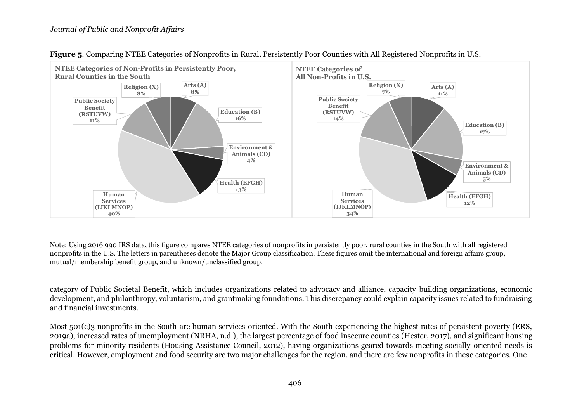

**Figure 5**. Comparing NTEE Categories of Nonprofits in Rural, Persistently Poor Counties with All Registered Nonprofits in U.S.

Note: Using 2016 990 IRS data, this figure compares NTEE categories of nonprofits in persistently poor, rural counties in the South with all registered nonprofits in the U.S. The letters in parentheses denote the Major Group classification. These figures omit the international and foreign affairs group, mutual/membership benefit group, and unknown/unclassified group.

category of Public Societal Benefit, which includes organizations related to advocacy and alliance, capacity building organizations, economic development, and philanthropy, voluntarism, and grantmaking foundations. This discrepancy could explain capacity issues related to fundraising and financial investments.

Most 501(c)3 nonprofits in the South are human services-oriented. With the South experiencing the highest rates of persistent poverty (ERS, 2019a), increased rates of unemployment (NRHA, n.d.), the largest percentage of food insecure counties (Hester, 2017), and significant housing problems for minority residents (Housing Assistance Council, 2012), having organizations geared towards meeting socially-oriented needs is critical. However, employment and food security are two major challenges for the region, and there are few nonprofits in these categories. One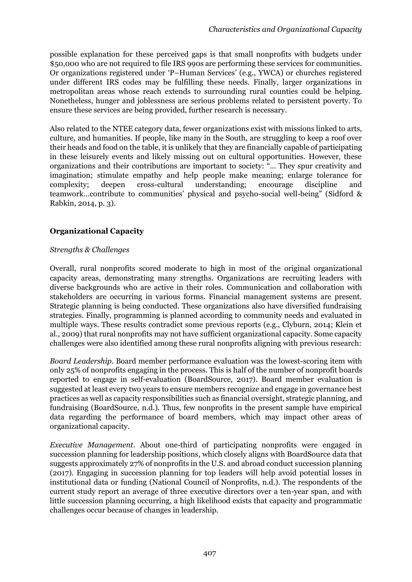possible explanation for these perceived gaps is that small nonprofits with budgets under \$50,000 who are not required to file IRS 990s are performing these services for communities. Or organizations registered under 'P–Human Services' (e.g., YWCA) or churches registered under different IRS codes may be fulfilling these needs. Finally, larger organizations in metropolitan areas whose reach extends to surrounding rural counties could be helping. Nonetheless, hunger and joblessness are serious problems related to persistent poverty. To ensure these services are being provided, further research is necessary.

Also related to the NTEE category data, fewer organizations exist with missions linked to arts, culture, and humanities. If people, like many in the South, are struggling to keep a roof over their heads and food on the table, it is unlikely that they are financially capable of participating in these leisurely events and likely missing out on cultural opportunities. However, these organizations and their contributions are important to society: "… They spur creativity and imagination; stimulate empathy and help people make meaning; enlarge tolerance for complexity; deepen cross-cultural understanding; encourage discipline and teamwork…contribute to communities' physical and psycho-social well-being" (Sidford & Rabkin, 2014, p. 3).

# **Organizational Capacity**

#### *Strengths & Challenges*

Overall, rural nonprofits scored moderate to high in most of the original organizational capacity areas, demonstrating many strengths. Organizations are recruiting leaders with diverse backgrounds who are active in their roles. Communication and collaboration with stakeholders are occurring in various forms. Financial management systems are present. Strategic planning is being conducted. These organizations also have diversified fundraising strategies. Finally, programming is planned according to community needs and evaluated in multiple ways. These results contradict some previous reports (e.g., Clyburn, 2014; Klein et al., 2009) that rural nonprofits may not have sufficient organizational capacity. Some capacity challenges were also identified among these rural nonprofits aligning with previous research:

*Board Leadership*. Board member performance evaluation was the lowest-scoring item with only 25% of nonprofits engaging in the process. This is half of the number of nonprofit boards reported to engage in self-evaluation (BoardSource, 2017). Board member evaluation is suggested at least every two years to ensure members recognize and engage in governance best practices as well as capacity responsibilities such as financial oversight, strategic planning, and fundraising (BoardSource, n.d.). Thus, few nonprofits in the present sample have empirical data regarding the performance of board members, which may impact other areas of organizational capacity.

*Executive Management*. About one-third of participating nonprofits were engaged in succession planning for leadership positions, which closely aligns with BoardSource data that suggests approximately 27% of nonprofits in the U.S. and abroad conduct succession planning (2017). Engaging in succession planning for top leaders will help avoid potential losses in institutional data or funding (National Council of Nonprofits, n.d.). The respondents of the current study report an average of three executive directors over a ten-year span, and with little succession planning occurring, a high likelihood exists that capacity and programmatic challenges occur because of changes in leadership.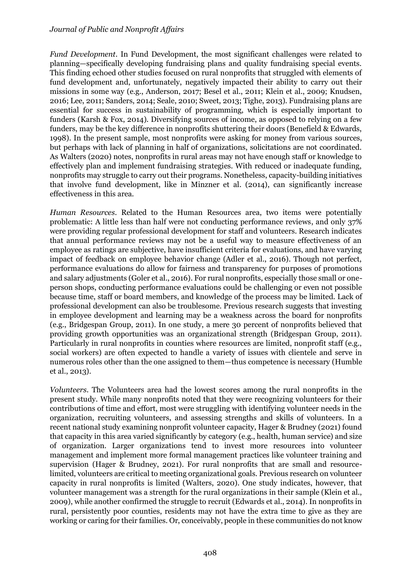#### *Journal of Public and Nonprofit Affairs*

*Fund Development*. In Fund Development, the most significant challenges were related to planning—specifically developing fundraising plans and quality fundraising special events. This finding echoed other studies focused on rural nonprofits that struggled with elements of fund development and, unfortunately, negatively impacted their ability to carry out their missions in some way (e.g., Anderson, 2017; Besel et al., 2011; Klein et al., 2009; Knudsen, 2016; Lee, 2011; Sanders, 2014; Seale, 2010; Sweet, 2013; Tighe, 2013). Fundraising plans are essential for success in sustainability of programming, which is especially important to funders (Karsh & Fox, 2014). Diversifying sources of income, as opposed to relying on a few funders, may be the key difference in nonprofits shuttering their doors (Benefield & Edwards, 1998). In the present sample, most nonprofits were asking for money from various sources, but perhaps with lack of planning in half of organizations, solicitations are not coordinated. As Walters (2020) notes, nonprofits in rural areas may not have enough staff or knowledge to effectively plan and implement fundraising strategies. With reduced or inadequate funding, nonprofits may struggle to carry out their programs. Nonetheless, capacity-building initiatives that involve fund development, like in Minzner et al. (2014), can significantly increase effectiveness in this area.

*Human Resources*. Related to the Human Resources area, two items were potentially problematic: A little less than half were not conducting performance reviews, and only 37% were providing regular professional development for staff and volunteers. Research indicates that annual performance reviews may not be a useful way to measure effectiveness of an employee as ratings are subjective, have insufficient criteria for evaluations, and have varying impact of feedback on employee behavior change (Adler et al., 2016). Though not perfect, performance evaluations do allow for fairness and transparency for purposes of promotions and salary adjustments (Goler et al., 2016). For rural nonprofits, especially those small or oneperson shops, conducting performance evaluations could be challenging or even not possible because time, staff or board members, and knowledge of the process may be limited. Lack of professional development can also be troublesome. Previous research suggests that investing in employee development and learning may be a weakness across the board for nonprofits (e.g., Bridgespan Group, 2011). In one study, a mere 30 percent of nonprofits believed that providing growth opportunities was an organizational strength (Bridgespan Group, 2011). Particularly in rural nonprofits in counties where resources are limited, nonprofit staff (e.g., social workers) are often expected to handle a variety of issues with clientele and serve in numerous roles other than the one assigned to them—thus competence is necessary (Humble et al., 2013).

*Volunteers*. The Volunteers area had the lowest scores among the rural nonprofits in the present study. While many nonprofits noted that they were recognizing volunteers for their contributions of time and effort, most were struggling with identifying volunteer needs in the organization, recruiting volunteers, and assessing strengths and skills of volunteers. In a recent national study examining nonprofit volunteer capacity, Hager & Brudney (2021) found that capacity in this area varied significantly by category (e.g., health, human service) and size of organization. Larger organizations tend to invest more resources into volunteer management and implement more formal management practices like volunteer training and supervision (Hager & Brudney, 2021). For rural nonprofits that are small and resourcelimited, volunteers are critical to meeting organizational goals. Previous research on volunteer capacity in rural nonprofits is limited (Walters, 2020). One study indicates, however, that volunteer management was a strength for the rural organizations in their sample (Klein et al., 2009), while another confirmed the struggle to recruit (Edwards et al., 2014). In nonprofits in rural, persistently poor counties, residents may not have the extra time to give as they are working or caring for their families. Or, conceivably, people in these communities do not know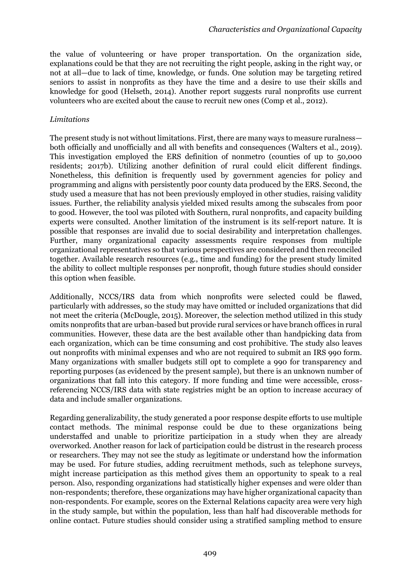the value of volunteering or have proper transportation. On the organization side, explanations could be that they are not recruiting the right people, asking in the right way, or not at all—due to lack of time, knowledge, or funds. One solution may be targeting retired seniors to assist in nonprofits as they have the time and a desire to use their skills and knowledge for good (Helseth, 2014). Another report suggests rural nonprofits use current volunteers who are excited about the cause to recruit new ones (Comp et al., 2012).

## *Limitations*

The present study is not without limitations. First, there are many ways to measure ruralness both officially and unofficially and all with benefits and consequences (Walters et al., 2019). This investigation employed the ERS definition of nonmetro (counties of up to 50,000 residents; 2017b). Utilizing another definition of rural could elicit different findings. Nonetheless, this definition is frequently used by government agencies for policy and programming and aligns with persistently poor county data produced by the ERS. Second, the study used a measure that has not been previously employed in other studies, raising validity issues. Further, the reliability analysis yielded mixed results among the subscales from poor to good. However, the tool was piloted with Southern, rural nonprofits, and capacity building experts were consulted. Another limitation of the instrument is its self-report nature. It is possible that responses are invalid due to social desirability and interpretation challenges. Further, many organizational capacity assessments require responses from multiple organizational representatives so that various perspectives are considered and then reconciled together. Available research resources (e.g., time and funding) for the present study limited the ability to collect multiple responses per nonprofit, though future studies should consider this option when feasible.

Additionally, NCCS/IRS data from which nonprofits were selected could be flawed, particularly with addresses, so the study may have omitted or included organizations that did not meet the criteria (McDougle, 2015). Moreover, the selection method utilized in this study omits nonprofits that are urban-based but provide rural services or have branch offices in rural communities. However, these data are the best available other than handpicking data from each organization, which can be time consuming and cost prohibitive. The study also leaves out nonprofits with minimal expenses and who are not required to submit an IRS 990 form. Many organizations with smaller budgets still opt to complete a 990 for transparency and reporting purposes (as evidenced by the present sample), but there is an unknown number of organizations that fall into this category. If more funding and time were accessible, crossreferencing NCCS/IRS data with state registries might be an option to increase accuracy of data and include smaller organizations.

Regarding generalizability, the study generated a poor response despite efforts to use multiple contact methods. The minimal response could be due to these organizations being understaffed and unable to prioritize participation in a study when they are already overworked. Another reason for lack of participation could be distrust in the research process or researchers. They may not see the study as legitimate or understand how the information may be used. For future studies, adding recruitment methods, such as telephone surveys, might increase participation as this method gives them an opportunity to speak to a real person. Also, responding organizations had statistically higher expenses and were older than non-respondents; therefore, these organizations may have higher organizational capacity than non-respondents. For example, scores on the External Relations capacity area were very high in the study sample, but within the population, less than half had discoverable methods for online contact. Future studies should consider using a stratified sampling method to ensure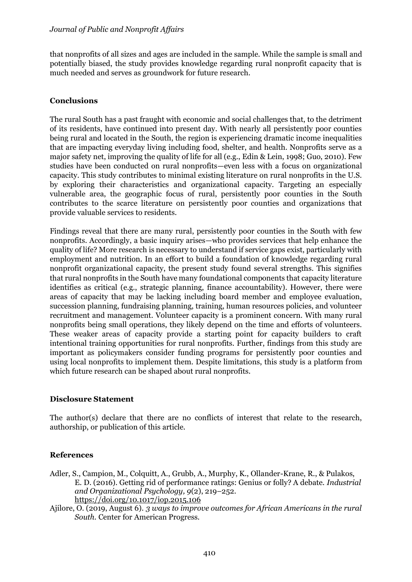that nonprofits of all sizes and ages are included in the sample. While the sample is small and potentially biased, the study provides knowledge regarding rural nonprofit capacity that is much needed and serves as groundwork for future research.

## **Conclusions**

The rural South has a past fraught with economic and social challenges that, to the detriment of its residents, have continued into present day. With nearly all persistently poor counties being rural and located in the South, the region is experiencing dramatic income inequalities that are impacting everyday living including food, shelter, and health. Nonprofits serve as a major safety net, improving the quality of life for all (e.g., Edin & Lein, 1998; Guo, 2010). Few studies have been conducted on rural nonprofits—even less with a focus on organizational capacity. This study contributes to minimal existing literature on rural nonprofits in the U.S. by exploring their characteristics and organizational capacity. Targeting an especially vulnerable area, the geographic focus of rural, persistently poor counties in the South contributes to the scarce literature on persistently poor counties and organizations that provide valuable services to residents.

Findings reveal that there are many rural, persistently poor counties in the South with few nonprofits. Accordingly, a basic inquiry arises—who provides services that help enhance the quality of life? More research is necessary to understand if service gaps exist, particularly with employment and nutrition. In an effort to build a foundation of knowledge regarding rural nonprofit organizational capacity, the present study found several strengths. This signifies that rural nonprofits in the South have many foundational components that capacity literature identifies as critical (e.g., strategic planning, finance accountability). However, there were areas of capacity that may be lacking including board member and employee evaluation, succession planning, fundraising planning, training, human resources policies, and volunteer recruitment and management. Volunteer capacity is a prominent concern. With many rural nonprofits being small operations, they likely depend on the time and efforts of volunteers. These weaker areas of capacity provide a starting point for capacity builders to craft intentional training opportunities for rural nonprofits. Further, findings from this study are important as policymakers consider funding programs for persistently poor counties and using local nonprofits to implement them. Despite limitations, this study is a platform from which future research can be shaped about rural nonprofits.

#### **Disclosure Statement**

The author(s) declare that there are no conflicts of interest that relate to the research, authorship, or publication of this article.

# **References**

- Adler, S., Campion, M., Colquitt, A., Grubb, A., Murphy, K., Ollander-Krane, R., & Pulakos, E. D. (2016). Getting rid of performance ratings: Genius or folly? A debate. *Industrial and Organizational Psychology, 9*(2), 219–252. https://doi.org/10.1017/iop.2015.106
- Ajilore, O. (2019, August 6). *3 ways to improve outcomes for African Americans in the rural South.* Center for American Progress.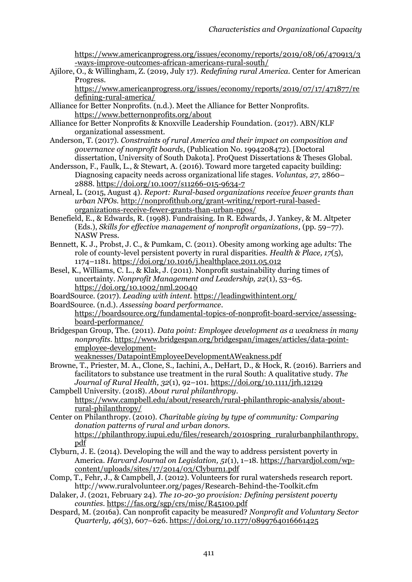https://www.americanprogress.org/issues/economy/reports/2019/08/06/470913/3 -ways-improve-outcomes-african-americans-rural-south/

Ajilore, O., & Willingham, Z. (2019, July 17). *Redefining rural America.* Center for American Progress.

https://www.americanprogress.org/issues/economy/reports/2019/07/17/471877/re defining-rural-america/

- Alliance for Better Nonprofits. (n.d.). Meet the Alliance for Better Nonprofits. https://www.betternonprofits.org/about
- Alliance for Better Nonprofits & Knoxville Leadership Foundation. (2017). ABN/KLF organizational assessment.
- Anderson, T. (2017). *Constraints of rural America and their impact on composition and governance of nonprofit boards*, (Publication No. 1994208472). [Doctoral dissertation, University of South Dakota]. ProQuest Dissertations & Theses Global.
- Andersson, F., Faulk, L., & Stewart, A. (2016). Toward more targeted capacity building: Diagnosing capacity needs across organizational life stages. *Voluntas, 27*, 2860– 2888. https://doi.org/10.1007/s11266-015-9634-7
- Arneal, L. (2015, August 4). *Report: Rural-based organizations receive fewer grants than urban NPOs.* [http://nonprofithub.org/grant-writing/report-rural-based](http://nonprofithub.org/grant-writing/report-rural-based-organizations-receive-fewer-grants-than-urban-npos/)[organizations-receive-fewer-grants-than-urban-npos/](http://nonprofithub.org/grant-writing/report-rural-based-organizations-receive-fewer-grants-than-urban-npos/)

Benefield, E., & Edwards, R. (1998). Fundraising. In R. Edwards, J. Yankey, & M. Altpeter (Eds.), *Skills for effective management of nonprofit organizations,* (pp. 59–77). NASW Press.

- Bennett, K. J., Probst, J. C., & Pumkam, C. (2011). Obesity among working age adults: The role of county-level persistent poverty in rural disparities. *Health & Place, 17*(5), 1174–1181. https://doi.org/10.1016/j.healthplace.2011.05.012
- Besel, K., Williams, C. L., & Klak, J. (2011). Nonprofit sustainability during times of uncertainty. *Nonprofit Management and Leadership, 22*(1), 53–65. https://doi.org/10.1002/nml.20040
- BoardSource. (2017). *Leading with intent.* https://leadingwithintent.org/
- BoardSource. (n.d.). *Assessing board performance*.

[https://boardsource.org/fundamental-topics-of-nonprofit-board-service/assessing](https://boardsource.org/fundamental-topics-of-nonprofit-board-service/assessing-board-performance/)[board-performance/](https://boardsource.org/fundamental-topics-of-nonprofit-board-service/assessing-board-performance/)

Bridgespan Group, The. (2011). *Data point: Employee development as a weakness in many nonprofits.* [https://www.bridgespan.org/bridgespan/images/articles/data-point](https://www.bridgespan.org/bridgespan/images/articles/data-point-employee-development-weaknesses/DatapointEmployeeDevelopmentAWeakness.pdf)[employee-development-](https://www.bridgespan.org/bridgespan/images/articles/data-point-employee-development-weaknesses/DatapointEmployeeDevelopmentAWeakness.pdf)

[weaknesses/DatapointEmployeeDevelopmentAWeakness.pdf](https://www.bridgespan.org/bridgespan/images/articles/data-point-employee-development-weaknesses/DatapointEmployeeDevelopmentAWeakness.pdf)

Browne, T., Priester, M. A., Clone, S., Iachini, A., DeHart, D., & Hock, R. (2016). Barriers and facilitators to substance use treatment in the rural South: A qualitative study. *The Journal of Rural Health, 32*(1), 92–101. https://doi.org/10.1111/jrh.12129

Campbell University. (2018). *About rural philanthropy*. [https://www.campbell.edu/about/research/rural-philanthropic-analysis/about](https://www.campbell.edu/about/research/rural-philanthropic-analysis/about-rural-philanthropy/)[rural-philanthropy/](https://www.campbell.edu/about/research/rural-philanthropic-analysis/about-rural-philanthropy/)

Center on Philanthropy. (2010). *Charitable giving by type of community: Comparing donation patterns of rural and urban donors.* [https://philanthropy.iupui.edu/files/research/2010spring\\_ruralurbanphilanthropy.](https://philanthropy.iupui.edu/files/research/2010spring_ruralurbanphilanthropy.pdf) [pdf](https://philanthropy.iupui.edu/files/research/2010spring_ruralurbanphilanthropy.pdf)

- Clyburn, J. E. (2014). Developing the will and the way to address persistent poverty in America. *Harvard Journal on Legislation, 51*(1), 1–18. https://harvardjol.com/wpcontent/uploads/sites/17/2014/03/Clyburn1.pdf
- Comp, T., Fehr, J., & Campbell, J. (2012). Volunteers for rural watersheds research report. http://www.ruralvolunteer.org/pages/Research-Behind-the-Toolkit.cfm
- Dalaker, J. (2021, February 24). *The 10-20-30 provision: Defining persistent poverty counties.* <https://fas.org/sgp/crs/misc/R45100.pdf>
- Despard, M. (2016a). Can nonprofit capacity be measured? *Nonprofit and Voluntary Sector Quarterly, 46*(3), 607–626. https://doi.org/10.1177/0899764016661425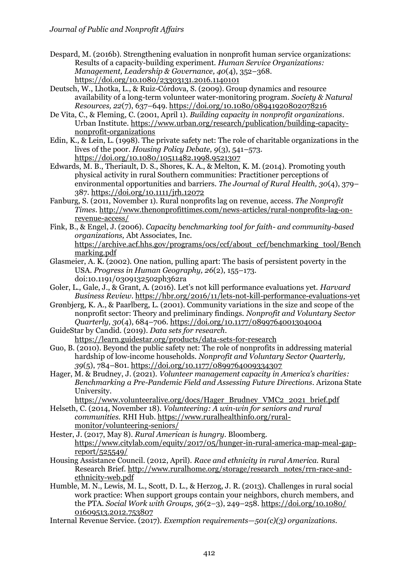Despard, M. (2016b). Strengthening evaluation in nonprofit human service organizations: Results of a capacity-building experiment. *Human Service Organizations: Management, Leadership & Governance, 40*(4), 352–368. https://doi.org/10.1080/23303131.2016.1140101

Deutsch, W., Lhotka, L., & Ruiz-Córdova, S. (2009). Group dynamics and resource availability of a long-term volunteer water-monitoring program. *Society & Natural Resources, 22*(7), 637–649. https://doi.org/10.1080/08941920802078216

- De Vita, C., & Fleming, C. (2001, April 1). *Building capacity in nonprofit organizations*. Urban Institute. https://www.urban.org/research/publication/building-capacitynonprofit-organizations
- Edin, K., & Lein, L. (1998). The private safety net: The role of charitable organizations in the lives of the poor. *Housing Policy Debate, 9*(3), 541–573. https://doi.org/10.1080/10511482.1998.9521307
- Edwards, M. B., Theriault, D. S., Shores, K. A., & Melton, K. M. (2014). Promoting youth physical activity in rural Southern communities: Practitioner perceptions of environmental opportunities and barriers. *The Journal of Rural Health, 30*(4), 379– 387. https://doi.org/10.1111/jrh.12072
- Fanburg, S. (2011, November 1). Rural nonprofits lag on revenue, access. *The Nonprofit Times*. [http://www.thenonprofittimes.com/news-articles/rural-nonprofits-lag-on](http://www.thenonprofittimes.com/news-articles/rural-nonprofits-lag-on-revenue-access/)[revenue-access/](http://www.thenonprofittimes.com/news-articles/rural-nonprofits-lag-on-revenue-access/)
- Fink, B., & Engel, J. (2006). *Capacity benchmarking tool for faith- and community-based organizations,* Abt Associates, Inc. [https://archive.acf.hhs.gov/programs/ocs/ccf/about\\_ccf/benchmarking\\_tool/Bench](https://archive.acf.hhs.gov/programs/ocs/ccf/about_ccf/benchmarking_tool/Benchmarking.pdf) [marking.pdf](https://archive.acf.hhs.gov/programs/ocs/ccf/about_ccf/benchmarking_tool/Benchmarking.pdf)
- Glasmeier, A. K. (2002). One nation, pulling apart: The basis of persistent poverty in the USA. *Progress in Human Geography, 26*(2), 155–173. doi:10.1191/0309132502ph362ra
- Goler, L., Gale, J., & Grant, A. (2016). Let's not kill performance evaluations yet. *Harvard Business Review*. https://hbr.org/2016/11/lets-not-kill-performance-evaluations-yet
- Grønbjerg, K. A., & Paarlberg, L. (2001). Community variations in the size and scope of the nonprofit sector: Theory and preliminary findings. *Nonprofit and Voluntary Sector Quarterly, 30*(4), 684–706. https://doi.org/10.1177/0899764001304004

GuideStar by Candid. (2019). *Data sets for research*. <https://learn.guidestar.org/products/data-sets-for-research>

- Guo, B. (2010). Beyond the public safety net: The role of nonprofits in addressing material hardship of low-income households. *Nonprofit and Voluntary Sector Quarterly, 39*(5), 784–801. https://doi.org/10.1177/0899764009334307
- Hager, M. & Brudney, J. (2021). *Volunteer management capacity in America's charities: Benchmarking a Pre-Pandemic Field and Assessing Future Directions*. Arizona State University.
- [https://www.volunteeralive.org/docs/Hager\\_Brudney\\_VMC2\\_2021\\_brief.pdf](https://www.volunteeralive.org/docs/Hager_Brudney_VMC2_2021_brief.pdf) Helseth, C. (2014, November 18). *Volunteering: A win-win for seniors and rural*
- *communities.* RHI Hub[. https://www.ruralhealthinfo.org/rural](https://www.ruralhealthinfo.org/rural-monitor/volunteering-seniors/)[monitor/volunteering-seniors/](https://www.ruralhealthinfo.org/rural-monitor/volunteering-seniors/)
- Hester, J. (2017, May 8). *Rural American is hungry.* Bloomberg. [https://www.citylab.com/equity/2017/05/hunger-in-rural-america-map-meal-gap](https://www.citylab.com/equity/2017/05/hunger-in-rural-america-map-meal-gap-report/525549/)[report/525549/](https://www.citylab.com/equity/2017/05/hunger-in-rural-america-map-meal-gap-report/525549/)
- Housing Assistance Council. (2012, April). *Race and ethnicity in rural America.* Rural Research Brief. [http://www.ruralhome.org/storage/research\\_notes/rrn-race-and](http://www.ruralhome.org/storage/research_notes/rrn-race-and-ethnicity-web.pdf)[ethnicity-web.pdf](http://www.ruralhome.org/storage/research_notes/rrn-race-and-ethnicity-web.pdf)
- Humble, M. N., Lewis, M. L., Scott, D. L., & Herzog, J. R. (2013). Challenges in rural social work practice: When support groups contain your neighbors, church members, and the PTA. *Social Work with Groups, 36*(2–3), 249–258. https://doi.org/10.1080/ 01609513.2012.753807
- Internal Revenue Service. (2017). *Exemption requirements—501(c)(3) organizations.*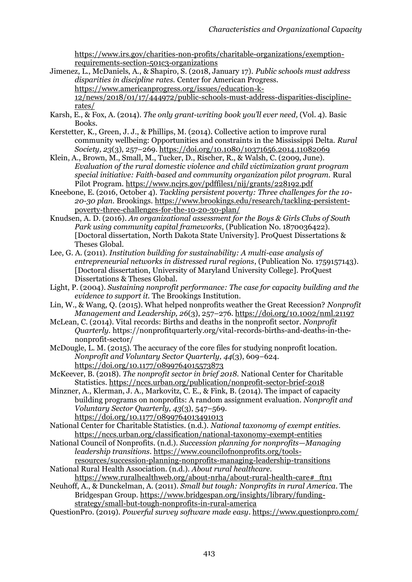[https://www.irs.gov/charities-non-profits/charitable-organizations/exemption](https://www.irs.gov/charities-non-profits/charitable-organizations/exemption-requirements-section-501c3-organizations)[requirements-section-501c3-organizations](https://www.irs.gov/charities-non-profits/charitable-organizations/exemption-requirements-section-501c3-organizations)

Jimenez, L., McDaniels, A., & Shapiro, S. (2018, January 17). *Public schools must address disparities in discipline rates.* Center for American Progress. https://www.americanprogress.org/issues/education-k-

12/news/2018/01/17/444972/public-schools-must-address-disparities-disciplinerates/

- Karsh, E., & Fox, A. (2014). *The only grant-writing book you'll ever need,* (Vol. 4). Basic Books.
- Kerstetter, K., Green, J. J., & Phillips, M. (2014). Collective action to improve rural community wellbeing: Opportunities and constraints in the Mississippi Delta. *Rural Society, 23*(3), 257–269. https://doi.org/10.1080/10371656.2014.11082069
- Klein, A., Brown, M., Small, M., Tucker, D., Rischer, R., & Walsh, C. (2009, June). *Evaluation of the rural domestic violence and child victimization grant program special initiative: Faith-based and community organization pilot program.* Rural Pilot Program.<https://www.ncjrs.gov/pdffiles1/nij/grants/228192.pdf>
- Kneebone, E. (2016, October 4). *Tackling persistent poverty: Three challenges for the 10- 20-30 plan.* Brookings[. https://www.brookings.edu/research/tackling-persistent](https://www.brookings.edu/research/tackling-persistent-poverty-three-challenges-for-the-10-20-30-plan/)[poverty-three-challenges-for-the-10-20-30-plan/](https://www.brookings.edu/research/tackling-persistent-poverty-three-challenges-for-the-10-20-30-plan/)
- Knudsen, A. D. (2016). *An organizational assessment for the Boys & Girls Clubs of South Park using community capital frameworks*, (Publication No. 1870036422). [Doctoral dissertation, North Dakota State University]. ProQuest Dissertations & Theses Global.
- Lee, G. A. (2011). *Institution building for sustainability: A multi-case analysis of entrepreneurial networks in distressed rural regions*, (Publication No. 1759157143). [Doctoral dissertation, University of Maryland University College]. ProQuest Dissertations & Theses Global.
- Light, P. (2004). *Sustaining nonprofit performance: The case for capacity building and the evidence to support it.* The Brookings Institution.
- Lin, W., & Wang, Q. (2015). What helped nonprofits weather the Great Recession? *Nonprofit Management and Leadership, 26*(3), 257–276. https://doi.org/10.1002/nml.21197
- McLean, C. (2014). Vital records: Births and deaths in the nonprofit sector. *Nonprofit Quarterly.* https://nonprofitquarterly.org/vital-records-births-and-deaths-in-thenonprofit-sector/
- McDougle, L. M. (2015). The accuracy of the core files for studying nonprofit location. *Nonprofit and Voluntary Sector Quarterly, 44*(3), 609–624. https://doi.org/10.1177/0899764015573873
- McKeever, B. (2018). *The nonprofit sector in brief 2018.* National Center for Charitable Statistics.<https://nccs.urban.org/publication/nonprofit-sector-brief-2018>
- Minzner, A., Klerman, J. A., Markovitz, C. E., & Fink, B. (2014). The impact of capacity building programs on nonprofits: A random assignment evaluation. *Nonprofit and Voluntary Sector Quarterly, 43*(3), 547–569. https://doi.org/10.1177/0899764013491013
- National Center for Charitable Statistics. (n.d.). *National taxonomy of exempt entities.* <https://nccs.urban.org/classification/national-taxonomy-exempt-entities>
- National Council of Nonprofits. (n.d.). *Succession planning for nonprofits—Managing leadership transitions*. [https://www.councilofnonprofits.org/tools](https://www.councilofnonprofits.org/tools-resources/succession-planning-nonprofits-managing-leadership-transitions)[resources/succession-planning-nonprofits-managing-leadership-transitions](https://www.councilofnonprofits.org/tools-resources/succession-planning-nonprofits-managing-leadership-transitions)
- National Rural Health Association. (n.d.). *About rural healthcare.*
- [https://www.ruralhealthweb.org/about-nrha/about-rural-health-care#\\_ftn1](https://www.ruralhealthweb.org/about-nrha/about-rural-health-care#_ftn1) Neuhoff, A., & Dunckelman, A. (2011). *Small but tough: Nonprofits in rural America*. The

Bridgespan Group. [https://www.bridgespan.org/insights/library/funding](https://www.bridgespan.org/insights/library/funding-strategy/small-but-tough-nonprofits-in-rural-america)[strategy/small-but-tough-nonprofits-in-rural-america](https://www.bridgespan.org/insights/library/funding-strategy/small-but-tough-nonprofits-in-rural-america)

QuestionPro. (2019). *Powerful survey software made easy*[. https://www.questionpro.com/](https://www.questionpro.com/)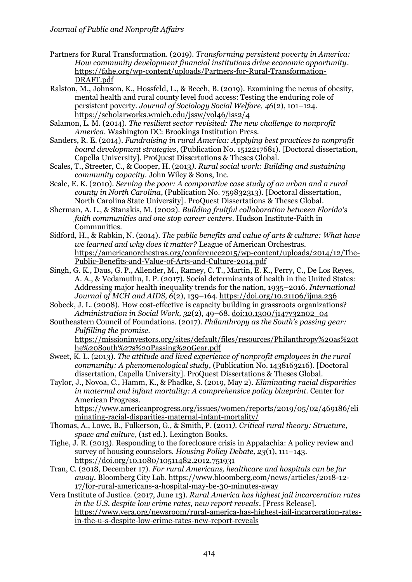- Partners for Rural Transformation. (2019). *Transforming persistent poverty in America: How community development financial institutions drive economic opportunity*. [https://fahe.org/wp-content/uploads/Partners-for-Rural-Transformation-](https://fahe.org/wp-content/uploads/Partners-for-Rural-Transformation-DRAFT.pdf)[DRAFT.pdf](https://fahe.org/wp-content/uploads/Partners-for-Rural-Transformation-DRAFT.pdf)
- Ralston, M., Johnson, K., Hossfeld, L., & Beech, B. (2019). Examining the nexus of obesity, mental health and rural county level food access: Testing the enduring role of persistent poverty. *Journal of Sociology Social Welfare, 46*(2), 101–124. <https://scholarworks.wmich.edu/jssw/vol46/iss2/4>
- Salamon, L. M. (2014). *The resilient sector revisited: The new challenge to nonprofit America*. Washington DC: Brookings Institution Press.
- Sanders, R. E. (2014). *Fundraising in rural America: Applying best practices to nonprofit board development strategies*, (Publication No. 1512217681). [Doctoral dissertation, Capella University]. ProQuest Dissertations & Theses Global.
- Scales, T., Streeter, C., & Cooper, H. (2013*). Rural social work: Building and sustaining community capacity*. John Wiley & Sons, Inc.
- Seale, E. K. (2010). *Serving the poor: A comparative case study of an urban and a rural county in North Carolina*, (Publication No. 759832313). [Doctoral dissertation, North Carolina State University]. ProQuest Dissertations & Theses Global.
- Sherman, A. L., & Stanakis, M. (2002). *Building fruitful collaboration between Florida's faith communities and one stop career centers*. Hudson Institute-Faith in Communities.
- Sidford, H., & Rabkin, N. (2014). *The public benefits and value of arts & culture: What have we learned and why does it matter?* League of American Orchestras. https://americanorchestras.org/conference2015/wp-content/uploads/2014/12/The-Public-Benefits-and-Value-of-Arts-and-Culture-2014.pdf
- Singh, G. K., Daus, G. P., Allender, M., Ramey, C. T., Martin, E. K., Perry, C., De Los Reyes, A. A., & Vedamuthu, I. P. (2017). Social determinants of health in the United States: Addressing major health inequality trends for the nation, 1935–2016. *International Journal of MCH and AIDS, 6*(2), 139–164. https://doi.org/10.21106/ijma.236
- Sobeck, J. L. (2008). How cost-effective is capacity building in grassroots organizations? *Administration in Social Work, 32*(2), 49–68. doi:10.1300/j147v32n02\_04
- Southeastern Council of Foundations. (2017). *Philanthropy as the South's passing gear: Fulfilling the promise.*

https://missioninvestors.org/sites/default/files/resources/Philanthropy%20as%20t he%20South%27s%20Passing%20Gear.pdf

- Sweet, K. L. (2013). *The attitude and lived experience of nonprofit employees in the rural community: A phenomenological study*, (Publication No. 1438163216). [Doctoral dissertation, Capella University]. ProQuest Dissertations & Theses Global.
- Taylor, J., Novoa, C., Hamm, K., & Phadke, S. (2019, May 2). *Eliminating racial disparities in maternal and infant mortality: A comprehensive policy blueprint.* Center for American Progress.

https://www.americanprogress.org/issues/women/reports/2019/05/02/469186/eli minating-racial-disparities-maternal-infant-mortality/

- Thomas, A., Lowe, B., Fulkerson, G., & Smith, P. (2011*). Critical rural theory: Structure, space and culture*, (1st ed.). Lexington Books.
- Tighe, J. R. (2013). Responding to the foreclosure crisis in Appalachia: A policy review and survey of housing counselors. *Housing Policy Debate, 23*(1), 111–143. https://doi.org/10.1080/10511482.2012.751931
- Tran, C. (2018, December 17). *For rural Americans, healthcare and hospitals can be far away.* Bloomberg City Lab. https://www.bloomberg.com/news/articles/2018-12- 17/for-rural-americans-a-hospital-may-be-30-minutes-away
- Vera Institute of Justice. (2017, June 13). *Rural America has highest jail incarceration rates in the U.S. despite low crime rates, new report reveals*. [Press Release]. https://www.vera.org/newsroom/rural-america-has-highest-jail-incarceration-ratesin-the-u-s-despite-low-crime-rates-new-report-reveals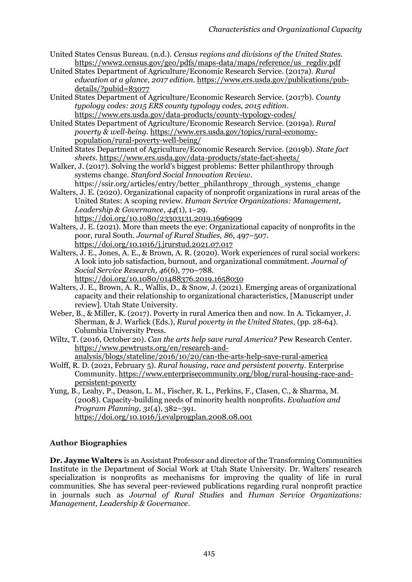- United States Census Bureau. (n.d.). *Census regions and divisions of the United States.*  [https://www2.census.gov/geo/pdfs/maps-data/maps/reference/us\\_regdiv.pdf](https://www2.census.gov/geo/pdfs/maps-data/maps/reference/us_regdiv.pdf)
- United States Department of Agriculture/Economic Research Service. (2017a). *Rural education at a glance, 2017 edition*[. https://www.ers.usda.gov/publications/pub](https://www.ers.usda.gov/publications/pub-details/?pubid=83077)[details/?pubid=83077](https://www.ers.usda.gov/publications/pub-details/?pubid=83077)
- United States Department of Agriculture/Economic Research Service. (2017b). *County typology codes: 2015 ERS county typology codes, 2015 edition*. <https://www.ers.usda.gov/data-products/county-typology-codes/>

United States Department of Agriculture/Economic Research Service. (2019a). *Rural poverty & well-being*. [https://www.ers.usda.gov/topics/rural-economy](https://www.ers.usda.gov/topics/rural-economy-population/rural-poverty-well-being/)[population/rural-poverty-well-being/](https://www.ers.usda.gov/topics/rural-economy-population/rural-poverty-well-being/)

- United States Department of Agriculture/Economic Research Service. (2019b). *State fact sheets*. <https://www.ers.usda.gov/data-products/state-fact-sheets/>
- Walker, J. (2017). Solving the world's biggest problems: Better philanthropy through systems change. *Stanford Social Innovation Review*.
- https://ssir.org/articles/entry/better\_philanthropy\_through\_systems\_change Walters, J. E. (2020). Organizational capacity of nonprofit organizations in rural areas of the
	- United States: A scoping review. *Human Service Organizations: Management, Leadership & Governance*, *44*(1), 1–29.
		- https://doi.org/10.1080/23303131.2019.1696909
- Walters, J. E. (2021). More than meets the eye: Organizational capacity of nonprofits in the poor, rural South. *Journal of Rural Studies, 86*, 497–507. https://doi.org/10.1016/j.jrurstud.2021.07.017
- Walters, J. E., Jones, A. E., & Brown, A. R. (2020). Work experiences of rural social workers: A look into job satisfaction, burnout, and organizational commitment. *Journal of Social Service Research, 46*(6), 770–788. https://doi.org/10.1080/01488376.2019.1658030
- Walters, J. E., Brown, A. R., Wallis, D., & Snow, J. (2021). Emerging areas of organizational capacity and their relationship to organizational characteristics, [Manuscript under review]. Utah State University.
- Weber, B., & Miller, K. (2017). Poverty in rural America then and now. In A. Tickamyer, J. Sherman, & J. Warlick (Eds.), *Rural poverty in the United States*, (pp. 28-64). Columbia University Press.
- Wiltz, T. (2016, October 20). *Can the arts help save rural America?* Pew Research Center. https://www.pewtrusts.org/en/research-andanalysis/blogs/stateline/2016/10/20/can-the-arts-help-save-rural-america
- Wolff, R. D. (2021, February 5). *Rural housing, race and persistent poverty.* Enterprise Community. https://www.enterprisecommunity.org/blog/rural-housing-race-andpersistent-poverty
- Yung, B., Leahy, P., Deason, L. M., Fischer, R. L., Perkins, F., Clasen, C., & Sharma, M. (2008). Capacity-building needs of minority health nonprofits*. Evaluation and Program Planning, 31*(4), 382–391. https://doi.org/10.1016/j.evalprogplan.2008.08.001

# **Author Biographies**

**Dr. Jayme Walters** is an Assistant Professor and director of the Transforming Communities Institute in the Department of Social Work at Utah State University. Dr. Walters' research specialization is nonprofits as mechanisms for improving the quality of life in rural communities. She has several peer-reviewed publications regarding rural nonprofit practice in journals such as *Journal of Rural Studies* and *Human Service Organizations: Management, Leadership & Governance*.